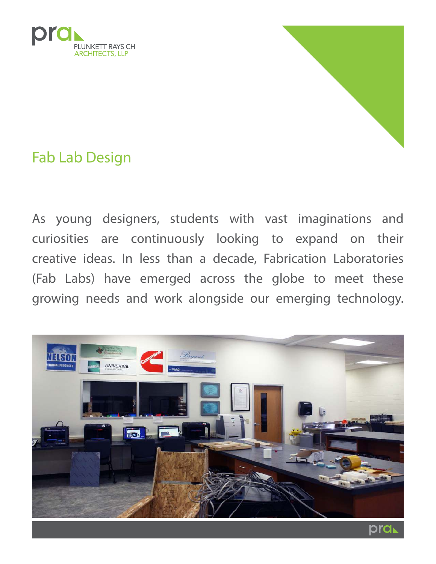



Fab Lab Design

As young designers, students with vast imaginations and curiosities are continuously looking to expand on their creative ideas. In less than a decade, Fabrication Laboratories (Fab Labs) have emerged across the globe to meet these growing needs and work alongside our emerging technology.

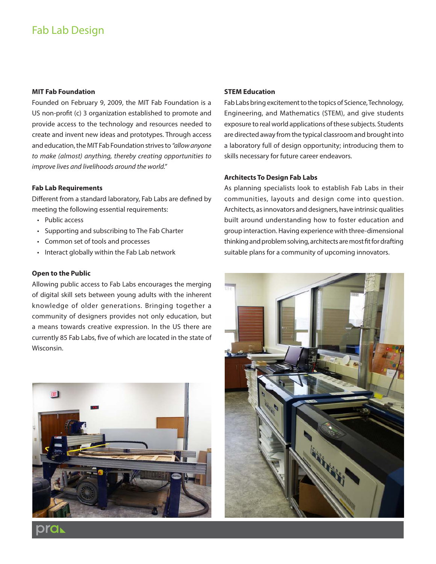# Fab Lab Design

## **MIT Fab Foundation**

Founded on February 9, 2009, the MIT Fab Foundation is a US non-profit (c) 3 organization established to promote and provide access to the technology and resources needed to create and invent new ideas and prototypes. Through access and education, the MIT Fab Foundation strives to "allow anyone to make (almost) anything, thereby creating opportunities to improve lives and livelihoods around the world."

## **Fab Lab Requirements**

Different from a standard laboratory, Fab Labs are defined by meeting the following essential requirements:

- Public access
- • Supporting and subscribing to The Fab Charter
- Common set of tools and processes
- • Interact globally within the Fab Lab network

## **Open to the Public**

Allowing public access to Fab Labs encourages the merging of digital skill sets between young adults with the inherent knowledge of older generations. Bringing together a community of designers provides not only education, but a means towards creative expression. In the US there are currently 85 Fab Labs, five of which are located in the state of Wisconsin.



#### **STEM Education**

Fab Labs bring excitement to the topics of Science, Technology, Engineering, and Mathematics (STEM), and give students exposure to real world applications of these subjects. Students are directed away from the typical classroom and brought into a laboratory full of design opportunity; introducing them to skills necessary for future career endeavors.

## **Architects To Design Fab Labs**

As planning specialists look to establish Fab Labs in their communities, layouts and design come into question. Architects, as innovators and designers, have intrinsic qualities built around understanding how to foster education and group interaction. Having experience with three-dimensional thinking and problem solving, architects are most fit for drafting suitable plans for a community of upcoming innovators.